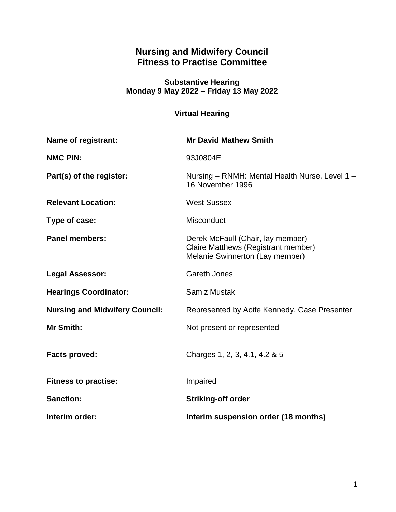# **Nursing and Midwifery Council Fitness to Practise Committee**

#### **Substantive Hearing Monday 9 May 2022 – Friday 13 May 2022**

# **Virtual Hearing**

| Name of registrant:                   | <b>Mr David Mathew Smith</b>                                                                                |
|---------------------------------------|-------------------------------------------------------------------------------------------------------------|
| <b>NMC PIN:</b>                       | 93J0804E                                                                                                    |
| Part(s) of the register:              | Nursing - RNMH: Mental Health Nurse, Level 1 -<br>16 November 1996                                          |
| <b>Relevant Location:</b>             | <b>West Sussex</b>                                                                                          |
| Type of case:                         | <b>Misconduct</b>                                                                                           |
| <b>Panel members:</b>                 | Derek McFaull (Chair, lay member)<br>Claire Matthews (Registrant member)<br>Melanie Swinnerton (Lay member) |
| <b>Legal Assessor:</b>                | <b>Gareth Jones</b>                                                                                         |
| <b>Hearings Coordinator:</b>          | Samiz Mustak                                                                                                |
| <b>Nursing and Midwifery Council:</b> | Represented by Aoife Kennedy, Case Presenter                                                                |
| Mr Smith:                             | Not present or represented                                                                                  |
| <b>Facts proved:</b>                  | Charges 1, 2, 3, 4.1, 4.2 & 5                                                                               |
| <b>Fitness to practise:</b>           | Impaired                                                                                                    |
| <b>Sanction:</b>                      | <b>Striking-off order</b>                                                                                   |
| Interim order:                        | Interim suspension order (18 months)                                                                        |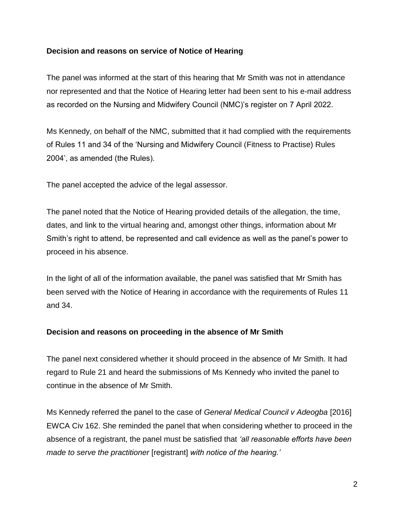# **Decision and reasons on service of Notice of Hearing**

The panel was informed at the start of this hearing that Mr Smith was not in attendance nor represented and that the Notice of Hearing letter had been sent to his e-mail address as recorded on the Nursing and Midwifery Council (NMC)'s register on 7 April 2022.

Ms Kennedy, on behalf of the NMC, submitted that it had complied with the requirements of Rules 11 and 34 of the 'Nursing and Midwifery Council (Fitness to Practise) Rules 2004', as amended (the Rules).

The panel accepted the advice of the legal assessor.

The panel noted that the Notice of Hearing provided details of the allegation, the time, dates, and link to the virtual hearing and, amongst other things, information about Mr Smith's right to attend, be represented and call evidence as well as the panel's power to proceed in his absence.

In the light of all of the information available, the panel was satisfied that Mr Smith has been served with the Notice of Hearing in accordance with the requirements of Rules 11 and 34.

# **Decision and reasons on proceeding in the absence of Mr Smith**

The panel next considered whether it should proceed in the absence of Mr Smith. It had regard to Rule 21 and heard the submissions of Ms Kennedy who invited the panel to continue in the absence of Mr Smith.

Ms Kennedy referred the panel to the case of *General Medical Council v Adeogba* [2016] EWCA Civ 162. She reminded the panel that when considering whether to proceed in the absence of a registrant, the panel must be satisfied that *'all reasonable efforts have been made to serve the practitioner* [registrant] *with notice of the hearing.'*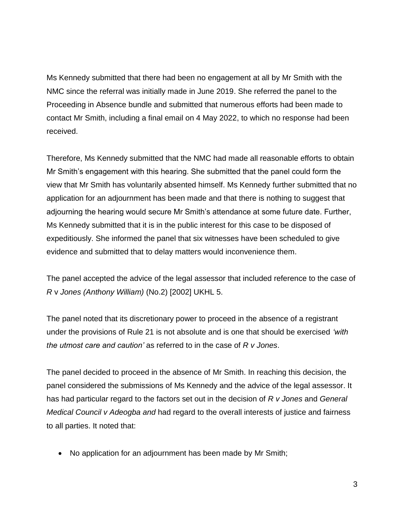Ms Kennedy submitted that there had been no engagement at all by Mr Smith with the NMC since the referral was initially made in June 2019. She referred the panel to the Proceeding in Absence bundle and submitted that numerous efforts had been made to contact Mr Smith, including a final email on 4 May 2022, to which no response had been received.

Therefore, Ms Kennedy submitted that the NMC had made all reasonable efforts to obtain Mr Smith's engagement with this hearing. She submitted that the panel could form the view that Mr Smith has voluntarily absented himself. Ms Kennedy further submitted that no application for an adjournment has been made and that there is nothing to suggest that adjourning the hearing would secure Mr Smith's attendance at some future date. Further, Ms Kennedy submitted that it is in the public interest for this case to be disposed of expeditiously. She informed the panel that six witnesses have been scheduled to give evidence and submitted that to delay matters would inconvenience them.

The panel accepted the advice of the legal assessor that included reference to the case of *R* v *Jones (Anthony William)* (No.2) [2002] UKHL 5.

The panel noted that its discretionary power to proceed in the absence of a registrant under the provisions of Rule 21 is not absolute and is one that should be exercised *'with the utmost care and caution'* as referred to in the case of *R v Jones*.

The panel decided to proceed in the absence of Mr Smith. In reaching this decision, the panel considered the submissions of Ms Kennedy and the advice of the legal assessor. It has had particular regard to the factors set out in the decision of *R v Jones* and *General Medical Council v Adeogba and* had regard to the overall interests of justice and fairness to all parties. It noted that:

• No application for an adjournment has been made by Mr Smith;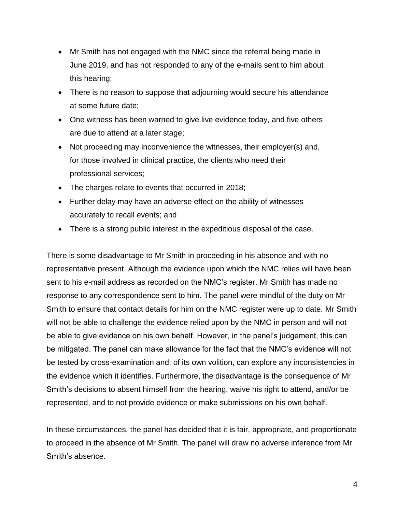- Mr Smith has not engaged with the NMC since the referral being made in June 2019, and has not responded to any of the e-mails sent to him about this hearing;
- There is no reason to suppose that adjourning would secure his attendance at some future date;
- One witness has been warned to give live evidence today, and five others are due to attend at a later stage;
- Not proceeding may inconvenience the witnesses, their employer(s) and, for those involved in clinical practice, the clients who need their professional services;
- The charges relate to events that occurred in 2018;
- Further delay may have an adverse effect on the ability of witnesses accurately to recall events; and
- There is a strong public interest in the expeditious disposal of the case.

There is some disadvantage to Mr Smith in proceeding in his absence and with no representative present. Although the evidence upon which the NMC relies will have been sent to his e-mail address as recorded on the NMC's register. Mr Smith has made no response to any correspondence sent to him. The panel were mindful of the duty on Mr Smith to ensure that contact details for him on the NMC register were up to date. Mr Smith will not be able to challenge the evidence relied upon by the NMC in person and will not be able to give evidence on his own behalf. However, in the panel's judgement, this can be mitigated. The panel can make allowance for the fact that the NMC's evidence will not be tested by cross-examination and, of its own volition, can explore any inconsistencies in the evidence which it identifies. Furthermore, the disadvantage is the consequence of Mr Smith's decisions to absent himself from the hearing, waive his right to attend, and/or be represented, and to not provide evidence or make submissions on his own behalf.

In these circumstances, the panel has decided that it is fair, appropriate, and proportionate to proceed in the absence of Mr Smith. The panel will draw no adverse inference from Mr Smith's absence.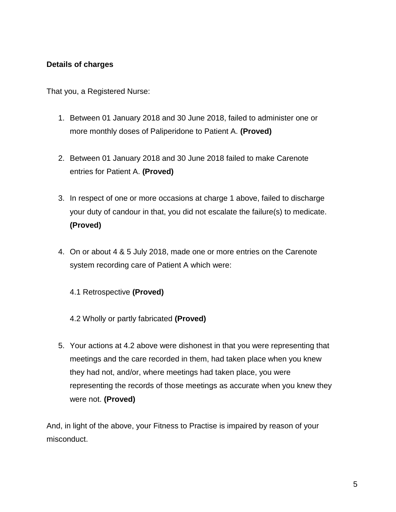# **Details of charges**

That you, a Registered Nurse:

- 1. Between 01 January 2018 and 30 June 2018, failed to administer one or more monthly doses of Paliperidone to Patient A. **(Proved)**
- 2. Between 01 January 2018 and 30 June 2018 failed to make Carenote entries for Patient A. **(Proved)**
- 3. In respect of one or more occasions at charge 1 above, failed to discharge your duty of candour in that, you did not escalate the failure(s) to medicate. **(Proved)**
- 4. On or about 4 & 5 July 2018, made one or more entries on the Carenote system recording care of Patient A which were:
	- 4.1 Retrospective **(Proved)**
	- 4.2 Wholly or partly fabricated **(Proved)**
- 5. Your actions at 4.2 above were dishonest in that you were representing that meetings and the care recorded in them, had taken place when you knew they had not, and/or, where meetings had taken place, you were representing the records of those meetings as accurate when you knew they were not. **(Proved)**

And, in light of the above, your Fitness to Practise is impaired by reason of your misconduct.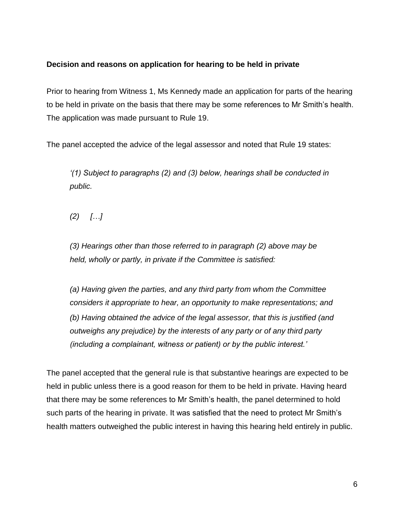# **Decision and reasons on application for hearing to be held in private**

Prior to hearing from Witness 1, Ms Kennedy made an application for parts of the hearing to be held in private on the basis that there may be some references to Mr Smith's health. The application was made pursuant to Rule 19.

The panel accepted the advice of the legal assessor and noted that Rule 19 states:

*'(1) Subject to paragraphs (2) and (3) below, hearings shall be conducted in public.*

*(2) […]*

*(3) Hearings other than those referred to in paragraph (2) above may be held, wholly or partly, in private if the Committee is satisfied:*

*(a) Having given the parties, and any third party from whom the Committee considers it appropriate to hear, an opportunity to make representations; and (b) Having obtained the advice of the legal assessor, that this is justified (and outweighs any prejudice) by the interests of any party or of any third party (including a complainant, witness or patient) or by the public interest.'*

The panel accepted that the general rule is that substantive hearings are expected to be held in public unless there is a good reason for them to be held in private. Having heard that there may be some references to Mr Smith's health, the panel determined to hold such parts of the hearing in private. It was satisfied that the need to protect Mr Smith's health matters outweighed the public interest in having this hearing held entirely in public.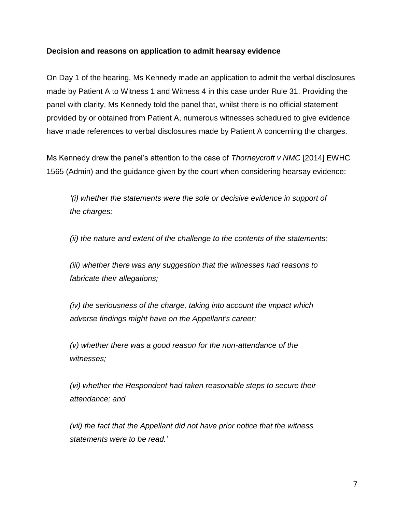### **Decision and reasons on application to admit hearsay evidence**

On Day 1 of the hearing, Ms Kennedy made an application to admit the verbal disclosures made by Patient A to Witness 1 and Witness 4 in this case under Rule 31. Providing the panel with clarity, Ms Kennedy told the panel that, whilst there is no official statement provided by or obtained from Patient A, numerous witnesses scheduled to give evidence have made references to verbal disclosures made by Patient A concerning the charges.

Ms Kennedy drew the panel's attention to the case of *Thorneycroft v NMC* [2014] EWHC 1565 (Admin) and the guidance given by the court when considering hearsay evidence:

*'(i) whether the statements were the sole or decisive evidence in support of the charges;* 

*(ii) the nature and extent of the challenge to the contents of the statements;* 

*(iii) whether there was any suggestion that the witnesses had reasons to fabricate their allegations;* 

*(iv) the seriousness of the charge, taking into account the impact which adverse findings might have on the Appellant's career;* 

*(v) whether there was a good reason for the non-attendance of the witnesses;* 

*(vi) whether the Respondent had taken reasonable steps to secure their attendance; and* 

*(vii) the fact that the Appellant did not have prior notice that the witness statements were to be read.'*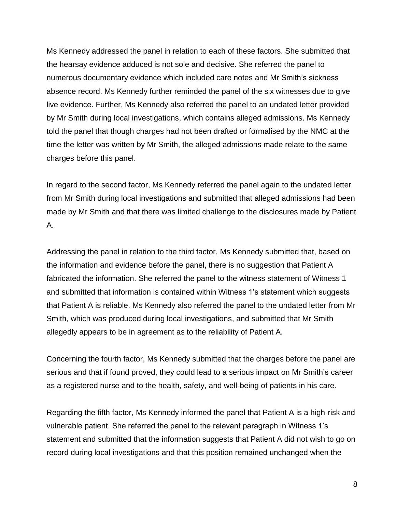Ms Kennedy addressed the panel in relation to each of these factors. She submitted that the hearsay evidence adduced is not sole and decisive. She referred the panel to numerous documentary evidence which included care notes and Mr Smith's sickness absence record. Ms Kennedy further reminded the panel of the six witnesses due to give live evidence. Further, Ms Kennedy also referred the panel to an undated letter provided by Mr Smith during local investigations, which contains alleged admissions. Ms Kennedy told the panel that though charges had not been drafted or formalised by the NMC at the time the letter was written by Mr Smith, the alleged admissions made relate to the same charges before this panel.

In regard to the second factor, Ms Kennedy referred the panel again to the undated letter from Mr Smith during local investigations and submitted that alleged admissions had been made by Mr Smith and that there was limited challenge to the disclosures made by Patient A.

Addressing the panel in relation to the third factor, Ms Kennedy submitted that, based on the information and evidence before the panel, there is no suggestion that Patient A fabricated the information. She referred the panel to the witness statement of Witness 1 and submitted that information is contained within Witness 1's statement which suggests that Patient A is reliable. Ms Kennedy also referred the panel to the undated letter from Mr Smith, which was produced during local investigations, and submitted that Mr Smith allegedly appears to be in agreement as to the reliability of Patient A.

Concerning the fourth factor, Ms Kennedy submitted that the charges before the panel are serious and that if found proved, they could lead to a serious impact on Mr Smith's career as a registered nurse and to the health, safety, and well-being of patients in his care.

Regarding the fifth factor, Ms Kennedy informed the panel that Patient A is a high-risk and vulnerable patient. She referred the panel to the relevant paragraph in Witness 1's statement and submitted that the information suggests that Patient A did not wish to go on record during local investigations and that this position remained unchanged when the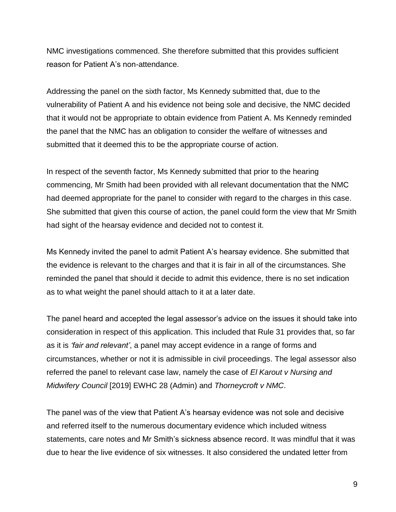NMC investigations commenced. She therefore submitted that this provides sufficient reason for Patient A's non-attendance.

Addressing the panel on the sixth factor, Ms Kennedy submitted that, due to the vulnerability of Patient A and his evidence not being sole and decisive, the NMC decided that it would not be appropriate to obtain evidence from Patient A. Ms Kennedy reminded the panel that the NMC has an obligation to consider the welfare of witnesses and submitted that it deemed this to be the appropriate course of action.

In respect of the seventh factor, Ms Kennedy submitted that prior to the hearing commencing, Mr Smith had been provided with all relevant documentation that the NMC had deemed appropriate for the panel to consider with regard to the charges in this case. She submitted that given this course of action, the panel could form the view that Mr Smith had sight of the hearsay evidence and decided not to contest it.

Ms Kennedy invited the panel to admit Patient A's hearsay evidence. She submitted that the evidence is relevant to the charges and that it is fair in all of the circumstances. She reminded the panel that should it decide to admit this evidence, there is no set indication as to what weight the panel should attach to it at a later date.

The panel heard and accepted the legal assessor's advice on the issues it should take into consideration in respect of this application. This included that Rule 31 provides that, so far as it is *'fair and relevant'*, a panel may accept evidence in a range of forms and circumstances, whether or not it is admissible in civil proceedings. The legal assessor also referred the panel to relevant case law, namely the case of *El Karout v Nursing and Midwifery Council* [2019] EWHC 28 (Admin) and *Thorneycroft v NMC*.

The panel was of the view that Patient A's hearsay evidence was not sole and decisive and referred itself to the numerous documentary evidence which included witness statements, care notes and Mr Smith's sickness absence record. It was mindful that it was due to hear the live evidence of six witnesses. It also considered the undated letter from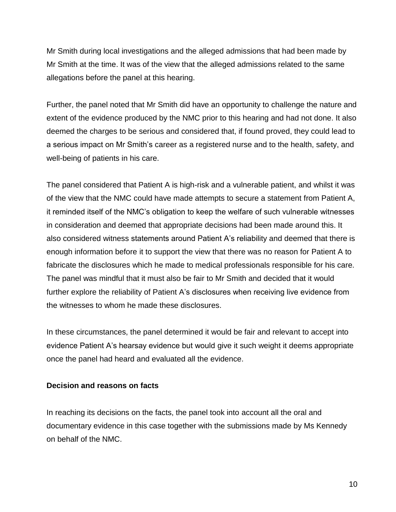Mr Smith during local investigations and the alleged admissions that had been made by Mr Smith at the time. It was of the view that the alleged admissions related to the same allegations before the panel at this hearing.

Further, the panel noted that Mr Smith did have an opportunity to challenge the nature and extent of the evidence produced by the NMC prior to this hearing and had not done. It also deemed the charges to be serious and considered that, if found proved, they could lead to a serious impact on Mr Smith's career as a registered nurse and to the health, safety, and well-being of patients in his care.

The panel considered that Patient A is high-risk and a vulnerable patient, and whilst it was of the view that the NMC could have made attempts to secure a statement from Patient A, it reminded itself of the NMC's obligation to keep the welfare of such vulnerable witnesses in consideration and deemed that appropriate decisions had been made around this. It also considered witness statements around Patient A's reliability and deemed that there is enough information before it to support the view that there was no reason for Patient A to fabricate the disclosures which he made to medical professionals responsible for his care. The panel was mindful that it must also be fair to Mr Smith and decided that it would further explore the reliability of Patient A's disclosures when receiving live evidence from the witnesses to whom he made these disclosures.

In these circumstances, the panel determined it would be fair and relevant to accept into evidence Patient A's hearsay evidence but would give it such weight it deems appropriate once the panel had heard and evaluated all the evidence.

#### **Decision and reasons on facts**

In reaching its decisions on the facts, the panel took into account all the oral and documentary evidence in this case together with the submissions made by Ms Kennedy on behalf of the NMC.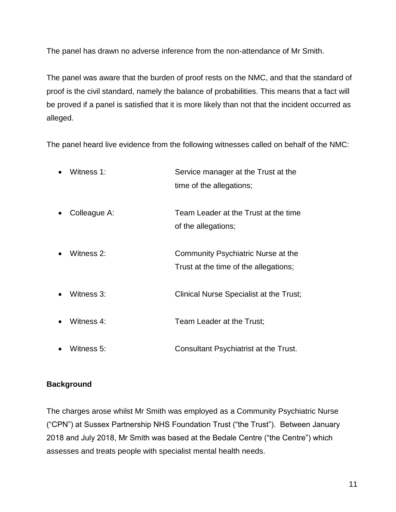The panel has drawn no adverse inference from the non-attendance of Mr Smith.

The panel was aware that the burden of proof rests on the NMC, and that the standard of proof is the civil standard, namely the balance of probabilities. This means that a fact will be proved if a panel is satisfied that it is more likely than not that the incident occurred as alleged.

The panel heard live evidence from the following witnesses called on behalf of the NMC:

|           | Witness 1:   | Service manager at the Trust at the<br>time of the allegations;             |
|-----------|--------------|-----------------------------------------------------------------------------|
|           | Colleague A: | Team Leader at the Trust at the time<br>of the allegations;                 |
|           | Witness 2:   | Community Psychiatric Nurse at the<br>Trust at the time of the allegations; |
|           | Witness 3:   | Clinical Nurse Specialist at the Trust;                                     |
|           | Witness 4:   | Team Leader at the Trust;                                                   |
| $\bullet$ | Witness 5:   | Consultant Psychiatrist at the Trust.                                       |

# **Background**

The charges arose whilst Mr Smith was employed as a Community Psychiatric Nurse ("CPN") at Sussex Partnership NHS Foundation Trust ("the Trust"). Between January 2018 and July 2018, Mr Smith was based at the Bedale Centre ("the Centre") which assesses and treats people with specialist mental health needs.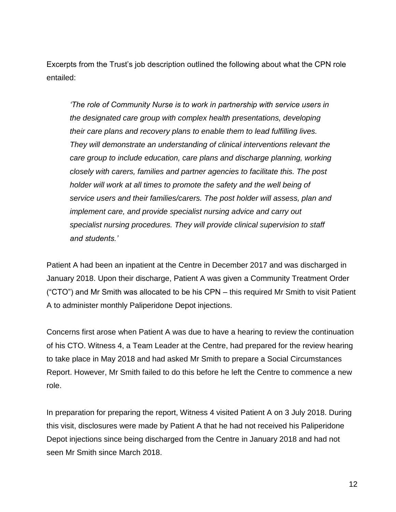Excerpts from the Trust's job description outlined the following about what the CPN role entailed:

*'The role of Community Nurse is to work in partnership with service users in the designated care group with complex health presentations, developing their care plans and recovery plans to enable them to lead fulfilling lives. They will demonstrate an understanding of clinical interventions relevant the care group to include education, care plans and discharge planning, working closely with carers, families and partner agencies to facilitate this. The post holder will work at all times to promote the safety and the well being of service users and their families/carers. The post holder will assess, plan and implement care, and provide specialist nursing advice and carry out specialist nursing procedures. They will provide clinical supervision to staff and students.'*

Patient A had been an inpatient at the Centre in December 2017 and was discharged in January 2018. Upon their discharge, Patient A was given a Community Treatment Order ("CTO") and Mr Smith was allocated to be his CPN – this required Mr Smith to visit Patient A to administer monthly Paliperidone Depot injections.

Concerns first arose when Patient A was due to have a hearing to review the continuation of his CTO. Witness 4, a Team Leader at the Centre, had prepared for the review hearing to take place in May 2018 and had asked Mr Smith to prepare a Social Circumstances Report. However, Mr Smith failed to do this before he left the Centre to commence a new role.

In preparation for preparing the report, Witness 4 visited Patient A on 3 July 2018. During this visit, disclosures were made by Patient A that he had not received his Paliperidone Depot injections since being discharged from the Centre in January 2018 and had not seen Mr Smith since March 2018.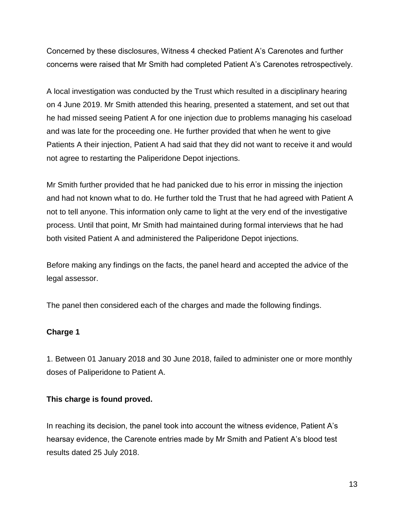Concerned by these disclosures, Witness 4 checked Patient A's Carenotes and further concerns were raised that Mr Smith had completed Patient A's Carenotes retrospectively.

A local investigation was conducted by the Trust which resulted in a disciplinary hearing on 4 June 2019. Mr Smith attended this hearing, presented a statement, and set out that he had missed seeing Patient A for one injection due to problems managing his caseload and was late for the proceeding one. He further provided that when he went to give Patients A their injection, Patient A had said that they did not want to receive it and would not agree to restarting the Paliperidone Depot injections.

Mr Smith further provided that he had panicked due to his error in missing the injection and had not known what to do. He further told the Trust that he had agreed with Patient A not to tell anyone. This information only came to light at the very end of the investigative process. Until that point, Mr Smith had maintained during formal interviews that he had both visited Patient A and administered the Paliperidone Depot injections.

Before making any findings on the facts, the panel heard and accepted the advice of the legal assessor.

The panel then considered each of the charges and made the following findings.

# **Charge 1**

1. Between 01 January 2018 and 30 June 2018, failed to administer one or more monthly doses of Paliperidone to Patient A.

# **This charge is found proved.**

In reaching its decision, the panel took into account the witness evidence, Patient A's hearsay evidence, the Carenote entries made by Mr Smith and Patient A's blood test results dated 25 July 2018.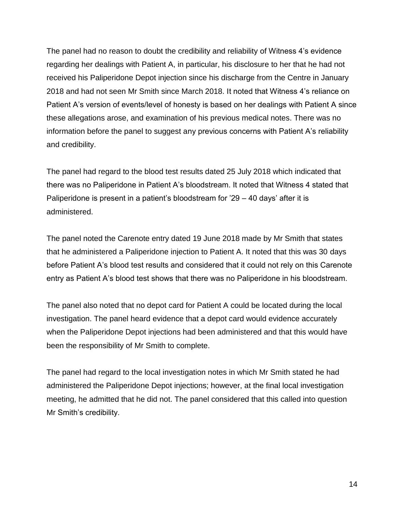The panel had no reason to doubt the credibility and reliability of Witness 4's evidence regarding her dealings with Patient A, in particular, his disclosure to her that he had not received his Paliperidone Depot injection since his discharge from the Centre in January 2018 and had not seen Mr Smith since March 2018. It noted that Witness 4's reliance on Patient A's version of events/level of honesty is based on her dealings with Patient A since these allegations arose, and examination of his previous medical notes. There was no information before the panel to suggest any previous concerns with Patient A's reliability and credibility.

The panel had regard to the blood test results dated 25 July 2018 which indicated that there was no Paliperidone in Patient A's bloodstream. It noted that Witness 4 stated that Paliperidone is present in a patient's bloodstream for '29 – 40 days' after it is administered.

The panel noted the Carenote entry dated 19 June 2018 made by Mr Smith that states that he administered a Paliperidone injection to Patient A. It noted that this was 30 days before Patient A's blood test results and considered that it could not rely on this Carenote entry as Patient A's blood test shows that there was no Paliperidone in his bloodstream.

The panel also noted that no depot card for Patient A could be located during the local investigation. The panel heard evidence that a depot card would evidence accurately when the Paliperidone Depot injections had been administered and that this would have been the responsibility of Mr Smith to complete.

The panel had regard to the local investigation notes in which Mr Smith stated he had administered the Paliperidone Depot injections; however, at the final local investigation meeting, he admitted that he did not. The panel considered that this called into question Mr Smith's credibility.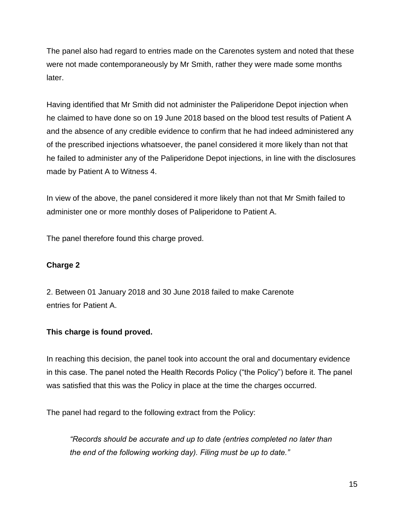The panel also had regard to entries made on the Carenotes system and noted that these were not made contemporaneously by Mr Smith, rather they were made some months later.

Having identified that Mr Smith did not administer the Paliperidone Depot injection when he claimed to have done so on 19 June 2018 based on the blood test results of Patient A and the absence of any credible evidence to confirm that he had indeed administered any of the prescribed injections whatsoever, the panel considered it more likely than not that he failed to administer any of the Paliperidone Depot injections, in line with the disclosures made by Patient A to Witness 4.

In view of the above, the panel considered it more likely than not that Mr Smith failed to administer one or more monthly doses of Paliperidone to Patient A.

The panel therefore found this charge proved.

# **Charge 2**

2. Between 01 January 2018 and 30 June 2018 failed to make Carenote entries for Patient A.

# **This charge is found proved.**

In reaching this decision, the panel took into account the oral and documentary evidence in this case. The panel noted the Health Records Policy ("the Policy") before it. The panel was satisfied that this was the Policy in place at the time the charges occurred.

The panel had regard to the following extract from the Policy:

*"Records should be accurate and up to date (entries completed no later than the end of the following working day). Filing must be up to date."*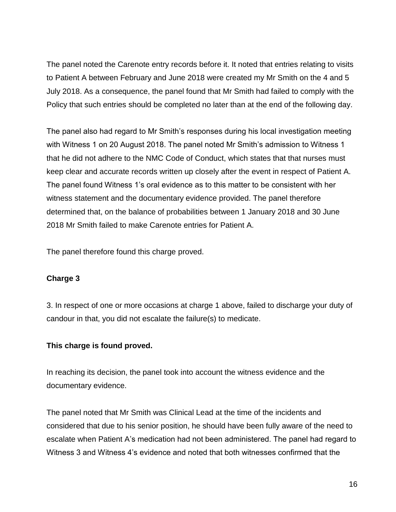The panel noted the Carenote entry records before it. It noted that entries relating to visits to Patient A between February and June 2018 were created my Mr Smith on the 4 and 5 July 2018. As a consequence, the panel found that Mr Smith had failed to comply with the Policy that such entries should be completed no later than at the end of the following day.

The panel also had regard to Mr Smith's responses during his local investigation meeting with Witness 1 on 20 August 2018. The panel noted Mr Smith's admission to Witness 1 that he did not adhere to the NMC Code of Conduct, which states that that nurses must keep clear and accurate records written up closely after the event in respect of Patient A. The panel found Witness 1's oral evidence as to this matter to be consistent with her witness statement and the documentary evidence provided. The panel therefore determined that, on the balance of probabilities between 1 January 2018 and 30 June 2018 Mr Smith failed to make Carenote entries for Patient A.

The panel therefore found this charge proved.

# **Charge 3**

3. In respect of one or more occasions at charge 1 above, failed to discharge your duty of candour in that, you did not escalate the failure(s) to medicate.

# **This charge is found proved.**

In reaching its decision, the panel took into account the witness evidence and the documentary evidence.

The panel noted that Mr Smith was Clinical Lead at the time of the incidents and considered that due to his senior position, he should have been fully aware of the need to escalate when Patient A's medication had not been administered. The panel had regard to Witness 3 and Witness 4's evidence and noted that both witnesses confirmed that the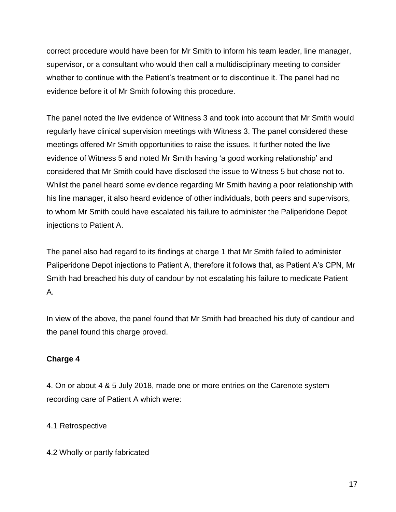correct procedure would have been for Mr Smith to inform his team leader, line manager, supervisor, or a consultant who would then call a multidisciplinary meeting to consider whether to continue with the Patient's treatment or to discontinue it. The panel had no evidence before it of Mr Smith following this procedure.

The panel noted the live evidence of Witness 3 and took into account that Mr Smith would regularly have clinical supervision meetings with Witness 3. The panel considered these meetings offered Mr Smith opportunities to raise the issues. It further noted the live evidence of Witness 5 and noted Mr Smith having 'a good working relationship' and considered that Mr Smith could have disclosed the issue to Witness 5 but chose not to. Whilst the panel heard some evidence regarding Mr Smith having a poor relationship with his line manager, it also heard evidence of other individuals, both peers and supervisors, to whom Mr Smith could have escalated his failure to administer the Paliperidone Depot injections to Patient A.

The panel also had regard to its findings at charge 1 that Mr Smith failed to administer Paliperidone Depot injections to Patient A, therefore it follows that, as Patient A's CPN, Mr Smith had breached his duty of candour by not escalating his failure to medicate Patient A.

In view of the above, the panel found that Mr Smith had breached his duty of candour and the panel found this charge proved.

# **Charge 4**

4. On or about 4 & 5 July 2018, made one or more entries on the Carenote system recording care of Patient A which were:

# 4.1 Retrospective

4.2 Wholly or partly fabricated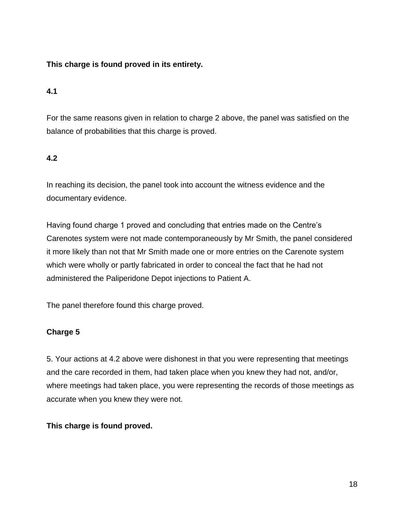# **This charge is found proved in its entirety.**

# **4.1**

For the same reasons given in relation to charge 2 above, the panel was satisfied on the balance of probabilities that this charge is proved.

# **4.2**

In reaching its decision, the panel took into account the witness evidence and the documentary evidence.

Having found charge 1 proved and concluding that entries made on the Centre's Carenotes system were not made contemporaneously by Mr Smith, the panel considered it more likely than not that Mr Smith made one or more entries on the Carenote system which were wholly or partly fabricated in order to conceal the fact that he had not administered the Paliperidone Depot injections to Patient A.

The panel therefore found this charge proved.

# **Charge 5**

5. Your actions at 4.2 above were dishonest in that you were representing that meetings and the care recorded in them, had taken place when you knew they had not, and/or, where meetings had taken place, you were representing the records of those meetings as accurate when you knew they were not.

# **This charge is found proved.**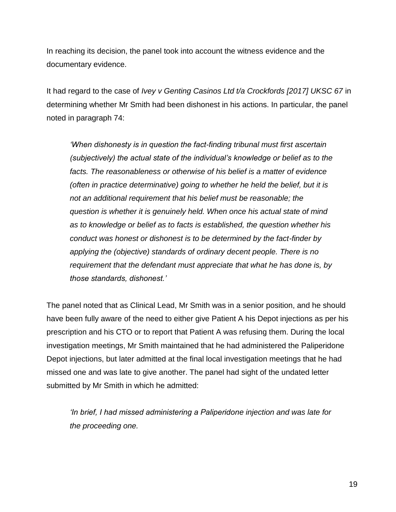In reaching its decision, the panel took into account the witness evidence and the documentary evidence.

It had regard to the case of *Ivey v Genting Casinos Ltd t/a Crockfords [2017] UKSC 67* in determining whether Mr Smith had been dishonest in his actions. In particular, the panel noted in paragraph 74:

*'When dishonesty is in question the fact-finding tribunal must first ascertain (subjectively) the actual state of the individual's knowledge or belief as to the facts. The reasonableness or otherwise of his belief is a matter of evidence (often in practice determinative) going to whether he held the belief, but it is not an additional requirement that his belief must be reasonable; the question is whether it is genuinely held. When once his actual state of mind as to knowledge or belief as to facts is established, the question whether his conduct was honest or dishonest is to be determined by the fact-finder by applying the (objective) standards of ordinary decent people. There is no requirement that the defendant must appreciate that what he has done is, by those standards, dishonest.'*

The panel noted that as Clinical Lead, Mr Smith was in a senior position, and he should have been fully aware of the need to either give Patient A his Depot injections as per his prescription and his CTO or to report that Patient A was refusing them. During the local investigation meetings, Mr Smith maintained that he had administered the Paliperidone Depot injections, but later admitted at the final local investigation meetings that he had missed one and was late to give another. The panel had sight of the undated letter submitted by Mr Smith in which he admitted:

*'In brief, I had missed administering a Paliperidone injection and was late for the proceeding one.*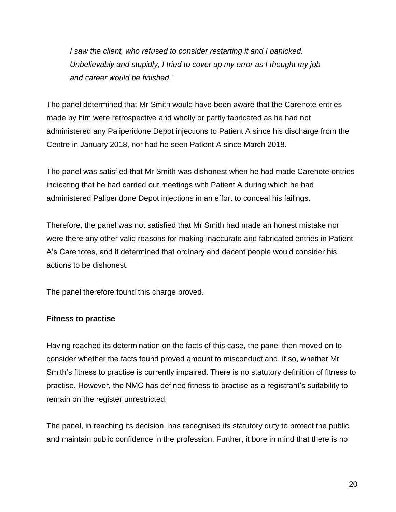*I saw the client, who refused to consider restarting it and I panicked. Unbelievably and stupidly, I tried to cover up my error as I thought my job and career would be finished.'*

The panel determined that Mr Smith would have been aware that the Carenote entries made by him were retrospective and wholly or partly fabricated as he had not administered any Paliperidone Depot injections to Patient A since his discharge from the Centre in January 2018, nor had he seen Patient A since March 2018.

The panel was satisfied that Mr Smith was dishonest when he had made Carenote entries indicating that he had carried out meetings with Patient A during which he had administered Paliperidone Depot injections in an effort to conceal his failings.

Therefore, the panel was not satisfied that Mr Smith had made an honest mistake nor were there any other valid reasons for making inaccurate and fabricated entries in Patient A's Carenotes, and it determined that ordinary and decent people would consider his actions to be dishonest.

The panel therefore found this charge proved.

# **Fitness to practise**

Having reached its determination on the facts of this case, the panel then moved on to consider whether the facts found proved amount to misconduct and, if so, whether Mr Smith's fitness to practise is currently impaired. There is no statutory definition of fitness to practise. However, the NMC has defined fitness to practise as a registrant's suitability to remain on the register unrestricted.

The panel, in reaching its decision, has recognised its statutory duty to protect the public and maintain public confidence in the profession. Further, it bore in mind that there is no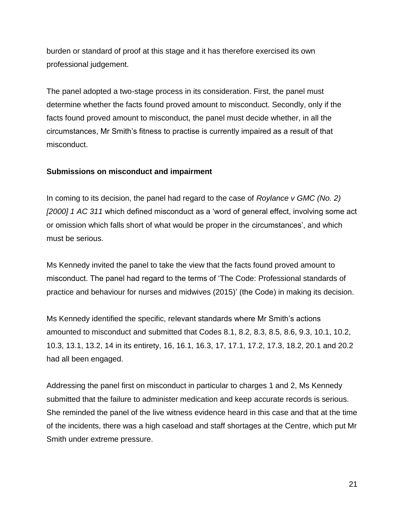burden or standard of proof at this stage and it has therefore exercised its own professional judgement.

The panel adopted a two-stage process in its consideration. First, the panel must determine whether the facts found proved amount to misconduct. Secondly, only if the facts found proved amount to misconduct, the panel must decide whether, in all the circumstances, Mr Smith's fitness to practise is currently impaired as a result of that misconduct.

### **Submissions on misconduct and impairment**

In coming to its decision, the panel had regard to the case of *Roylance v GMC (No. 2) [2000] 1 AC 311* which defined misconduct as a 'word of general effect, involving some act or omission which falls short of what would be proper in the circumstances', and which must be serious.

Ms Kennedy invited the panel to take the view that the facts found proved amount to misconduct. The panel had regard to the terms of 'The Code: Professional standards of practice and behaviour for nurses and midwives (2015)' (the Code) in making its decision.

Ms Kennedy identified the specific, relevant standards where Mr Smith's actions amounted to misconduct and submitted that Codes 8.1, 8.2, 8.3, 8.5, 8.6, 9.3, 10.1, 10.2, 10.3, 13.1, 13.2, 14 in its entirety, 16, 16.1, 16.3, 17, 17.1, 17.2, 17.3, 18.2, 20.1 and 20.2 had all been engaged.

Addressing the panel first on misconduct in particular to charges 1 and 2, Ms Kennedy submitted that the failure to administer medication and keep accurate records is serious. She reminded the panel of the live witness evidence heard in this case and that at the time of the incidents, there was a high caseload and staff shortages at the Centre, which put Mr Smith under extreme pressure.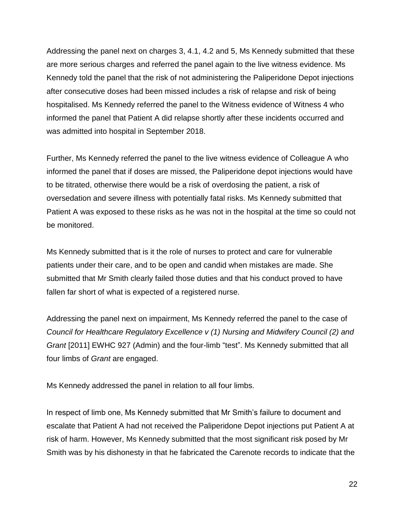Addressing the panel next on charges 3, 4.1, 4.2 and 5, Ms Kennedy submitted that these are more serious charges and referred the panel again to the live witness evidence. Ms Kennedy told the panel that the risk of not administering the Paliperidone Depot injections after consecutive doses had been missed includes a risk of relapse and risk of being hospitalised. Ms Kennedy referred the panel to the Witness evidence of Witness 4 who informed the panel that Patient A did relapse shortly after these incidents occurred and was admitted into hospital in September 2018.

Further, Ms Kennedy referred the panel to the live witness evidence of Colleague A who informed the panel that if doses are missed, the Paliperidone depot injections would have to be titrated, otherwise there would be a risk of overdosing the patient, a risk of oversedation and severe illness with potentially fatal risks. Ms Kennedy submitted that Patient A was exposed to these risks as he was not in the hospital at the time so could not be monitored.

Ms Kennedy submitted that is it the role of nurses to protect and care for vulnerable patients under their care, and to be open and candid when mistakes are made. She submitted that Mr Smith clearly failed those duties and that his conduct proved to have fallen far short of what is expected of a registered nurse.

Addressing the panel next on impairment, Ms Kennedy referred the panel to the case of *Council for Healthcare Regulatory Excellence v (1) Nursing and Midwifery Council (2) and Grant* [2011] EWHC 927 (Admin) and the four-limb "test". Ms Kennedy submitted that all four limbs of *Grant* are engaged.

Ms Kennedy addressed the panel in relation to all four limbs.

In respect of limb one, Ms Kennedy submitted that Mr Smith's failure to document and escalate that Patient A had not received the Paliperidone Depot injections put Patient A at risk of harm. However, Ms Kennedy submitted that the most significant risk posed by Mr Smith was by his dishonesty in that he fabricated the Carenote records to indicate that the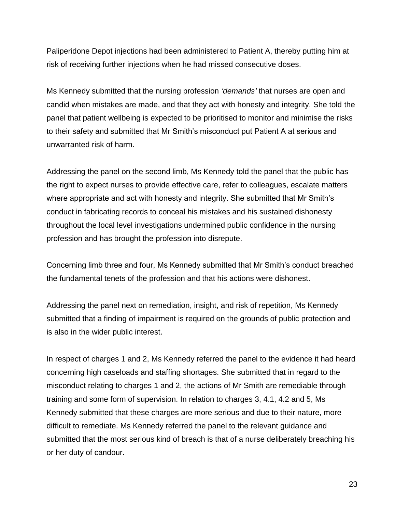Paliperidone Depot injections had been administered to Patient A, thereby putting him at risk of receiving further injections when he had missed consecutive doses.

Ms Kennedy submitted that the nursing profession *'demands'* that nurses are open and candid when mistakes are made, and that they act with honesty and integrity. She told the panel that patient wellbeing is expected to be prioritised to monitor and minimise the risks to their safety and submitted that Mr Smith's misconduct put Patient A at serious and unwarranted risk of harm.

Addressing the panel on the second limb, Ms Kennedy told the panel that the public has the right to expect nurses to provide effective care, refer to colleagues, escalate matters where appropriate and act with honesty and integrity. She submitted that Mr Smith's conduct in fabricating records to conceal his mistakes and his sustained dishonesty throughout the local level investigations undermined public confidence in the nursing profession and has brought the profession into disrepute.

Concerning limb three and four, Ms Kennedy submitted that Mr Smith's conduct breached the fundamental tenets of the profession and that his actions were dishonest.

Addressing the panel next on remediation, insight, and risk of repetition, Ms Kennedy submitted that a finding of impairment is required on the grounds of public protection and is also in the wider public interest.

In respect of charges 1 and 2, Ms Kennedy referred the panel to the evidence it had heard concerning high caseloads and staffing shortages. She submitted that in regard to the misconduct relating to charges 1 and 2, the actions of Mr Smith are remediable through training and some form of supervision. In relation to charges 3, 4.1, 4.2 and 5, Ms Kennedy submitted that these charges are more serious and due to their nature, more difficult to remediate. Ms Kennedy referred the panel to the relevant guidance and submitted that the most serious kind of breach is that of a nurse deliberately breaching his or her duty of candour.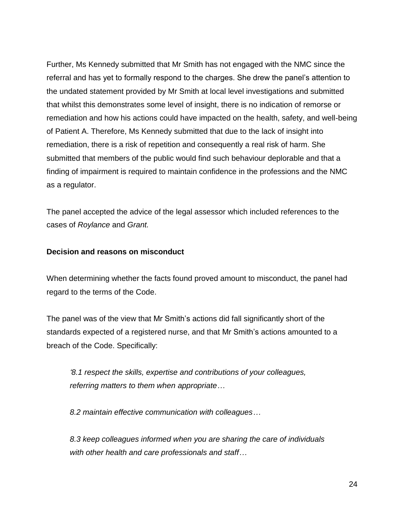Further, Ms Kennedy submitted that Mr Smith has not engaged with the NMC since the referral and has yet to formally respond to the charges. She drew the panel's attention to the undated statement provided by Mr Smith at local level investigations and submitted that whilst this demonstrates some level of insight, there is no indication of remorse or remediation and how his actions could have impacted on the health, safety, and well-being of Patient A. Therefore, Ms Kennedy submitted that due to the lack of insight into remediation, there is a risk of repetition and consequently a real risk of harm. She submitted that members of the public would find such behaviour deplorable and that a finding of impairment is required to maintain confidence in the professions and the NMC as a regulator.

The panel accepted the advice of the legal assessor which included references to the cases of *Roylance* and *Grant.* 

### **Decision and reasons on misconduct**

When determining whether the facts found proved amount to misconduct, the panel had regard to the terms of the Code.

The panel was of the view that Mr Smith's actions did fall significantly short of the standards expected of a registered nurse, and that Mr Smith's actions amounted to a breach of the Code. Specifically:

*'8.1 respect the skills, expertise and contributions of your colleagues, referring matters to them when appropriate…*

*8.2 maintain effective communication with colleagues…*

*8.3 keep colleagues informed when you are sharing the care of individuals with other health and care professionals and staff…*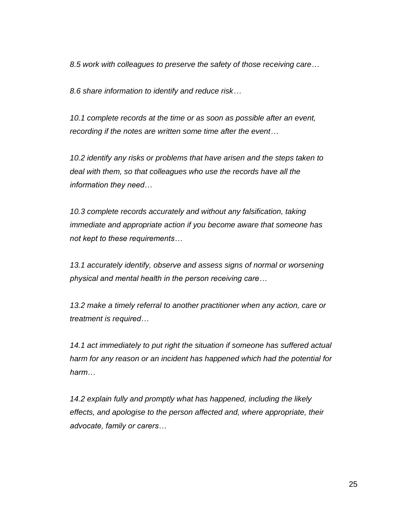*8.5 work with colleagues to preserve the safety of those receiving care…*

*8.6 share information to identify and reduce risk…*

*10.1 complete records at the time or as soon as possible after an event, recording if the notes are written some time after the event…*

*10.2 identify any risks or problems that have arisen and the steps taken to deal with them, so that colleagues who use the records have all the information they need…*

*10.3 complete records accurately and without any falsification, taking immediate and appropriate action if you become aware that someone has not kept to these requirements…*

*13.1 accurately identify, observe and assess signs of normal or worsening physical and mental health in the person receiving care…*

*13.2 make a timely referral to another practitioner when any action, care or treatment is required…*

*14.1 act immediately to put right the situation if someone has suffered actual harm for any reason or an incident has happened which had the potential for harm…*

*14.2 explain fully and promptly what has happened, including the likely effects, and apologise to the person affected and, where appropriate, their advocate, family or carers…*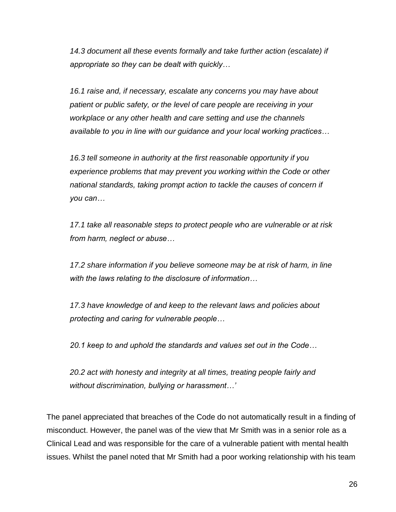*14.3 document all these events formally and take further action (escalate) if appropriate so they can be dealt with quickly…*

*16.1 raise and, if necessary, escalate any concerns you may have about patient or public safety, or the level of care people are receiving in your workplace or any other health and care setting and use the channels available to you in line with our guidance and your local working practices…*

*16.3 tell someone in authority at the first reasonable opportunity if you experience problems that may prevent you working within the Code or other national standards, taking prompt action to tackle the causes of concern if you can…*

*17.1 take all reasonable steps to protect people who are vulnerable or at risk from harm, neglect or abuse…*

*17.2 share information if you believe someone may be at risk of harm, in line with the laws relating to the disclosure of information…*

*17.3 have knowledge of and keep to the relevant laws and policies about protecting and caring for vulnerable people…*

*20.1 keep to and uphold the standards and values set out in the Code…*

*20.2 act with honesty and integrity at all times, treating people fairly and without discrimination, bullying or harassment…'*

The panel appreciated that breaches of the Code do not automatically result in a finding of misconduct. However, the panel was of the view that Mr Smith was in a senior role as a Clinical Lead and was responsible for the care of a vulnerable patient with mental health issues. Whilst the panel noted that Mr Smith had a poor working relationship with his team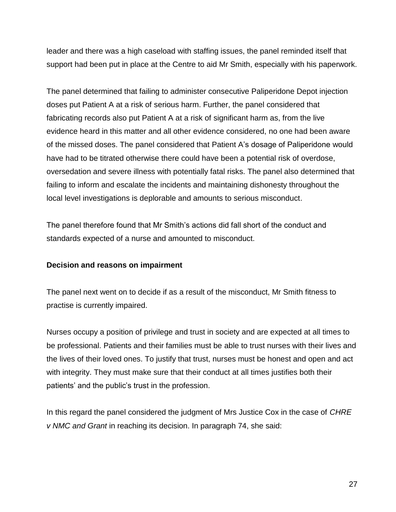leader and there was a high caseload with staffing issues, the panel reminded itself that support had been put in place at the Centre to aid Mr Smith, especially with his paperwork.

The panel determined that failing to administer consecutive Paliperidone Depot injection doses put Patient A at a risk of serious harm. Further, the panel considered that fabricating records also put Patient A at a risk of significant harm as, from the live evidence heard in this matter and all other evidence considered, no one had been aware of the missed doses. The panel considered that Patient A's dosage of Paliperidone would have had to be titrated otherwise there could have been a potential risk of overdose, oversedation and severe illness with potentially fatal risks. The panel also determined that failing to inform and escalate the incidents and maintaining dishonesty throughout the local level investigations is deplorable and amounts to serious misconduct.

The panel therefore found that Mr Smith's actions did fall short of the conduct and standards expected of a nurse and amounted to misconduct.

# **Decision and reasons on impairment**

The panel next went on to decide if as a result of the misconduct, Mr Smith fitness to practise is currently impaired.

Nurses occupy a position of privilege and trust in society and are expected at all times to be professional. Patients and their families must be able to trust nurses with their lives and the lives of their loved ones. To justify that trust, nurses must be honest and open and act with integrity. They must make sure that their conduct at all times justifies both their patients' and the public's trust in the profession.

In this regard the panel considered the judgment of Mrs Justice Cox in the case of *CHRE v NMC and Grant* in reaching its decision. In paragraph 74, she said: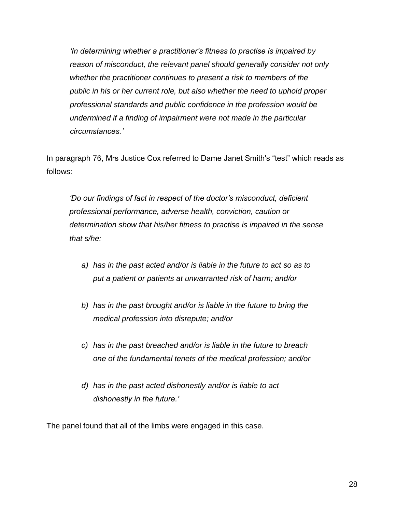*'In determining whether a practitioner's fitness to practise is impaired by reason of misconduct, the relevant panel should generally consider not only whether the practitioner continues to present a risk to members of the public in his or her current role, but also whether the need to uphold proper professional standards and public confidence in the profession would be undermined if a finding of impairment were not made in the particular circumstances.'*

In paragraph 76, Mrs Justice Cox referred to Dame Janet Smith's "test" which reads as follows:

*'Do our findings of fact in respect of the doctor's misconduct, deficient professional performance, adverse health, conviction, caution or determination show that his/her fitness to practise is impaired in the sense that s/he:*

- *a) has in the past acted and/or is liable in the future to act so as to put a patient or patients at unwarranted risk of harm; and/or*
- *b) has in the past brought and/or is liable in the future to bring the medical profession into disrepute; and/or*
- *c) has in the past breached and/or is liable in the future to breach one of the fundamental tenets of the medical profession; and/or*
- *d) has in the past acted dishonestly and/or is liable to act dishonestly in the future.'*

The panel found that all of the limbs were engaged in this case.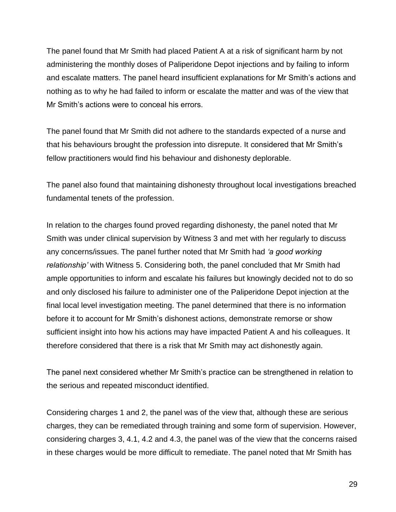The panel found that Mr Smith had placed Patient A at a risk of significant harm by not administering the monthly doses of Paliperidone Depot injections and by failing to inform and escalate matters. The panel heard insufficient explanations for Mr Smith's actions and nothing as to why he had failed to inform or escalate the matter and was of the view that Mr Smith's actions were to conceal his errors.

The panel found that Mr Smith did not adhere to the standards expected of a nurse and that his behaviours brought the profession into disrepute. It considered that Mr Smith's fellow practitioners would find his behaviour and dishonesty deplorable.

The panel also found that maintaining dishonesty throughout local investigations breached fundamental tenets of the profession.

In relation to the charges found proved regarding dishonesty, the panel noted that Mr Smith was under clinical supervision by Witness 3 and met with her regularly to discuss any concerns/issues. The panel further noted that Mr Smith had *'a good working relationship'* with Witness 5. Considering both, the panel concluded that Mr Smith had ample opportunities to inform and escalate his failures but knowingly decided not to do so and only disclosed his failure to administer one of the Paliperidone Depot injection at the final local level investigation meeting. The panel determined that there is no information before it to account for Mr Smith's dishonest actions, demonstrate remorse or show sufficient insight into how his actions may have impacted Patient A and his colleagues. It therefore considered that there is a risk that Mr Smith may act dishonestly again.

The panel next considered whether Mr Smith's practice can be strengthened in relation to the serious and repeated misconduct identified.

Considering charges 1 and 2, the panel was of the view that, although these are serious charges, they can be remediated through training and some form of supervision. However, considering charges 3, 4.1, 4.2 and 4.3, the panel was of the view that the concerns raised in these charges would be more difficult to remediate. The panel noted that Mr Smith has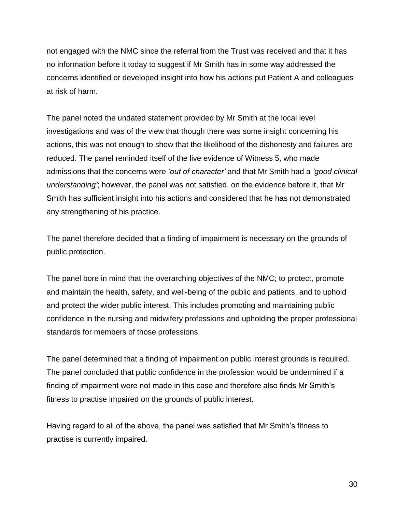not engaged with the NMC since the referral from the Trust was received and that it has no information before it today to suggest if Mr Smith has in some way addressed the concerns identified or developed insight into how his actions put Patient A and colleagues at risk of harm.

The panel noted the undated statement provided by Mr Smith at the local level investigations and was of the view that though there was some insight concerning his actions, this was not enough to show that the likelihood of the dishonesty and failures are reduced. The panel reminded itself of the live evidence of Witness 5, who made admissions that the concerns were *'out of character'* and that Mr Smith had a *'good clinical understanding'*; however, the panel was not satisfied, on the evidence before it, that Mr Smith has sufficient insight into his actions and considered that he has not demonstrated any strengthening of his practice.

The panel therefore decided that a finding of impairment is necessary on the grounds of public protection.

The panel bore in mind that the overarching objectives of the NMC; to protect, promote and maintain the health, safety, and well-being of the public and patients, and to uphold and protect the wider public interest. This includes promoting and maintaining public confidence in the nursing and midwifery professions and upholding the proper professional standards for members of those professions.

The panel determined that a finding of impairment on public interest grounds is required. The panel concluded that public confidence in the profession would be undermined if a finding of impairment were not made in this case and therefore also finds Mr Smith's fitness to practise impaired on the grounds of public interest.

Having regard to all of the above, the panel was satisfied that Mr Smith's fitness to practise is currently impaired.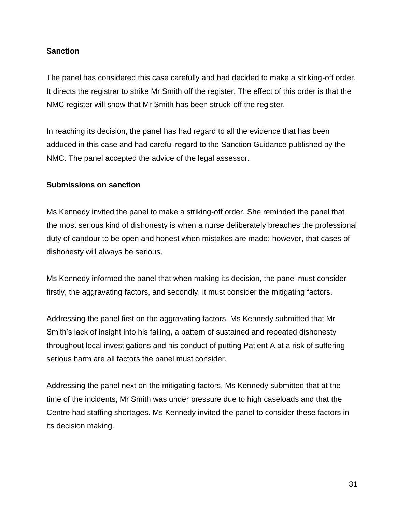# **Sanction**

The panel has considered this case carefully and had decided to make a striking-off order. It directs the registrar to strike Mr Smith off the register. The effect of this order is that the NMC register will show that Mr Smith has been struck-off the register.

In reaching its decision, the panel has had regard to all the evidence that has been adduced in this case and had careful regard to the Sanction Guidance published by the NMC. The panel accepted the advice of the legal assessor.

### **Submissions on sanction**

Ms Kennedy invited the panel to make a striking-off order. She reminded the panel that the most serious kind of dishonesty is when a nurse deliberately breaches the professional duty of candour to be open and honest when mistakes are made; however, that cases of dishonesty will always be serious.

Ms Kennedy informed the panel that when making its decision, the panel must consider firstly, the aggravating factors, and secondly, it must consider the mitigating factors.

Addressing the panel first on the aggravating factors, Ms Kennedy submitted that Mr Smith's lack of insight into his failing, a pattern of sustained and repeated dishonesty throughout local investigations and his conduct of putting Patient A at a risk of suffering serious harm are all factors the panel must consider.

Addressing the panel next on the mitigating factors, Ms Kennedy submitted that at the time of the incidents, Mr Smith was under pressure due to high caseloads and that the Centre had staffing shortages. Ms Kennedy invited the panel to consider these factors in its decision making.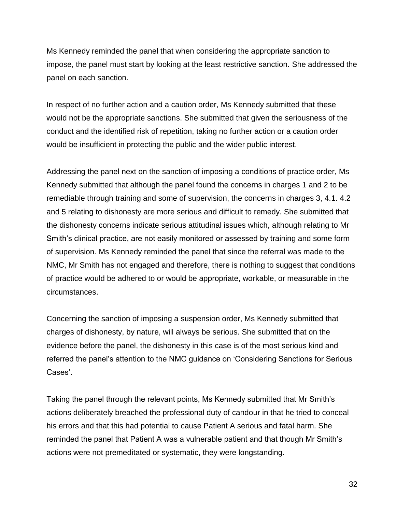Ms Kennedy reminded the panel that when considering the appropriate sanction to impose, the panel must start by looking at the least restrictive sanction. She addressed the panel on each sanction.

In respect of no further action and a caution order, Ms Kennedy submitted that these would not be the appropriate sanctions. She submitted that given the seriousness of the conduct and the identified risk of repetition, taking no further action or a caution order would be insufficient in protecting the public and the wider public interest.

Addressing the panel next on the sanction of imposing a conditions of practice order, Ms Kennedy submitted that although the panel found the concerns in charges 1 and 2 to be remediable through training and some of supervision, the concerns in charges 3, 4.1. 4.2 and 5 relating to dishonesty are more serious and difficult to remedy. She submitted that the dishonesty concerns indicate serious attitudinal issues which, although relating to Mr Smith's clinical practice, are not easily monitored or assessed by training and some form of supervision. Ms Kennedy reminded the panel that since the referral was made to the NMC, Mr Smith has not engaged and therefore, there is nothing to suggest that conditions of practice would be adhered to or would be appropriate, workable, or measurable in the circumstances.

Concerning the sanction of imposing a suspension order, Ms Kennedy submitted that charges of dishonesty, by nature, will always be serious. She submitted that on the evidence before the panel, the dishonesty in this case is of the most serious kind and referred the panel's attention to the NMC guidance on 'Considering Sanctions for Serious Cases'.

Taking the panel through the relevant points, Ms Kennedy submitted that Mr Smith's actions deliberately breached the professional duty of candour in that he tried to conceal his errors and that this had potential to cause Patient A serious and fatal harm. She reminded the panel that Patient A was a vulnerable patient and that though Mr Smith's actions were not premeditated or systematic, they were longstanding.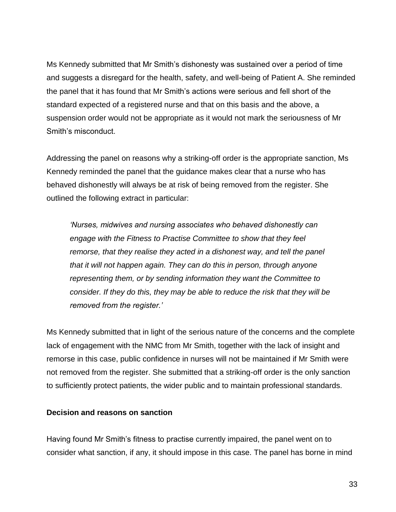Ms Kennedy submitted that Mr Smith's dishonesty was sustained over a period of time and suggests a disregard for the health, safety, and well-being of Patient A. She reminded the panel that it has found that Mr Smith's actions were serious and fell short of the standard expected of a registered nurse and that on this basis and the above, a suspension order would not be appropriate as it would not mark the seriousness of Mr Smith's misconduct.

Addressing the panel on reasons why a striking-off order is the appropriate sanction, Ms Kennedy reminded the panel that the guidance makes clear that a nurse who has behaved dishonestly will always be at risk of being removed from the register. She outlined the following extract in particular:

*'Nurses, midwives and nursing associates who behaved dishonestly can engage with the Fitness to Practise Committee to show that they feel remorse, that they realise they acted in a dishonest way, and tell the panel that it will not happen again. They can do this in person, through anyone representing them, or by sending information they want the Committee to consider. If they do this, they may be able to reduce the risk that they will be removed from the register.'*

Ms Kennedy submitted that in light of the serious nature of the concerns and the complete lack of engagement with the NMC from Mr Smith, together with the lack of insight and remorse in this case, public confidence in nurses will not be maintained if Mr Smith were not removed from the register. She submitted that a striking-off order is the only sanction to sufficiently protect patients, the wider public and to maintain professional standards.

#### **Decision and reasons on sanction**

Having found Mr Smith's fitness to practise currently impaired, the panel went on to consider what sanction, if any, it should impose in this case. The panel has borne in mind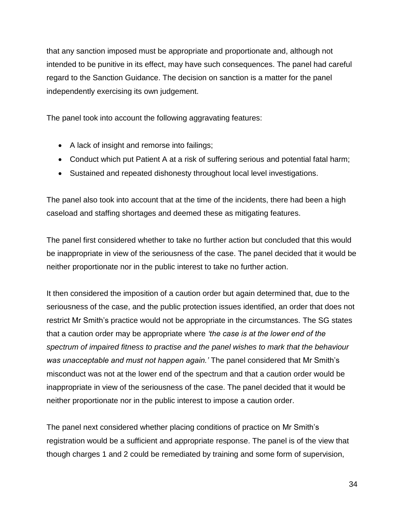that any sanction imposed must be appropriate and proportionate and, although not intended to be punitive in its effect, may have such consequences. The panel had careful regard to the Sanction Guidance. The decision on sanction is a matter for the panel independently exercising its own judgement.

The panel took into account the following aggravating features:

- A lack of insight and remorse into failings;
- Conduct which put Patient A at a risk of suffering serious and potential fatal harm;
- Sustained and repeated dishonesty throughout local level investigations.

The panel also took into account that at the time of the incidents, there had been a high caseload and staffing shortages and deemed these as mitigating features.

The panel first considered whether to take no further action but concluded that this would be inappropriate in view of the seriousness of the case. The panel decided that it would be neither proportionate nor in the public interest to take no further action.

It then considered the imposition of a caution order but again determined that, due to the seriousness of the case, and the public protection issues identified, an order that does not restrict Mr Smith's practice would not be appropriate in the circumstances. The SG states that a caution order may be appropriate where *'the case is at the lower end of the spectrum of impaired fitness to practise and the panel wishes to mark that the behaviour was unacceptable and must not happen again.'* The panel considered that Mr Smith's misconduct was not at the lower end of the spectrum and that a caution order would be inappropriate in view of the seriousness of the case. The panel decided that it would be neither proportionate nor in the public interest to impose a caution order.

The panel next considered whether placing conditions of practice on Mr Smith's registration would be a sufficient and appropriate response. The panel is of the view that though charges 1 and 2 could be remediated by training and some form of supervision,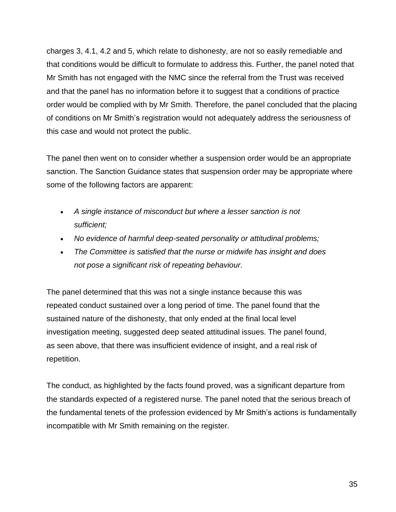charges 3, 4.1, 4.2 and 5, which relate to dishonesty, are not so easily remediable and that conditions would be difficult to formulate to address this. Further, the panel noted that Mr Smith has not engaged with the NMC since the referral from the Trust was received and that the panel has no information before it to suggest that a conditions of practice order would be complied with by Mr Smith. Therefore, the panel concluded that the placing of conditions on Mr Smith's registration would not adequately address the seriousness of this case and would not protect the public.

The panel then went on to consider whether a suspension order would be an appropriate sanction. The Sanction Guidance states that suspension order may be appropriate where some of the following factors are apparent:

- *A single instance of misconduct but where a lesser sanction is not sufficient;*
- *No evidence of harmful deep-seated personality or attitudinal problems;*
- *The Committee is satisfied that the nurse or midwife has insight and does not pose a significant risk of repeating behaviour.*

The panel determined that this was not a single instance because this was repeated conduct sustained over a long period of time. The panel found that the sustained nature of the dishonesty, that only ended at the final local level investigation meeting, suggested deep seated attitudinal issues. The panel found, as seen above, that there was insufficient evidence of insight, and a real risk of repetition.

The conduct, as highlighted by the facts found proved, was a significant departure from the standards expected of a registered nurse. The panel noted that the serious breach of the fundamental tenets of the profession evidenced by Mr Smith's actions is fundamentally incompatible with Mr Smith remaining on the register.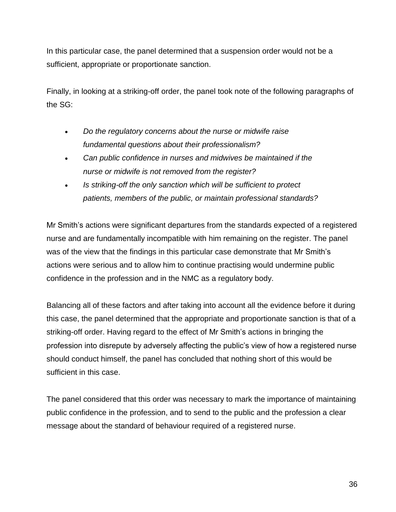In this particular case, the panel determined that a suspension order would not be a sufficient, appropriate or proportionate sanction.

Finally, in looking at a striking-off order, the panel took note of the following paragraphs of the SG:

- *Do the regulatory concerns about the nurse or midwife raise fundamental questions about their professionalism?*
- *Can public confidence in nurses and midwives be maintained if the nurse or midwife is not removed from the register?*
- *Is striking-off the only sanction which will be sufficient to protect patients, members of the public, or maintain professional standards?*

Mr Smith's actions were significant departures from the standards expected of a registered nurse and are fundamentally incompatible with him remaining on the register. The panel was of the view that the findings in this particular case demonstrate that Mr Smith's actions were serious and to allow him to continue practising would undermine public confidence in the profession and in the NMC as a regulatory body.

Balancing all of these factors and after taking into account all the evidence before it during this case, the panel determined that the appropriate and proportionate sanction is that of a striking-off order. Having regard to the effect of Mr Smith's actions in bringing the profession into disrepute by adversely affecting the public's view of how a registered nurse should conduct himself, the panel has concluded that nothing short of this would be sufficient in this case.

The panel considered that this order was necessary to mark the importance of maintaining public confidence in the profession, and to send to the public and the profession a clear message about the standard of behaviour required of a registered nurse.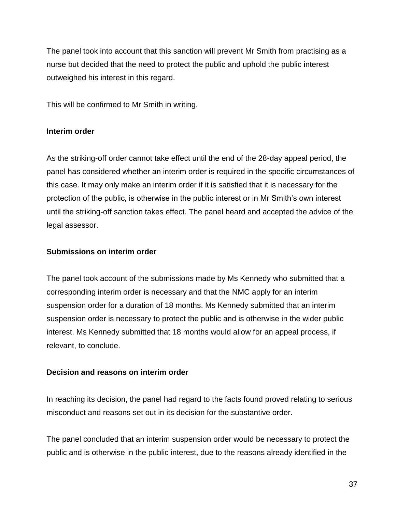The panel took into account that this sanction will prevent Mr Smith from practising as a nurse but decided that the need to protect the public and uphold the public interest outweighed his interest in this regard.

This will be confirmed to Mr Smith in writing.

### **Interim order**

As the striking-off order cannot take effect until the end of the 28-day appeal period, the panel has considered whether an interim order is required in the specific circumstances of this case. It may only make an interim order if it is satisfied that it is necessary for the protection of the public, is otherwise in the public interest or in Mr Smith's own interest until the striking-off sanction takes effect. The panel heard and accepted the advice of the legal assessor.

### **Submissions on interim order**

The panel took account of the submissions made by Ms Kennedy who submitted that a corresponding interim order is necessary and that the NMC apply for an interim suspension order for a duration of 18 months. Ms Kennedy submitted that an interim suspension order is necessary to protect the public and is otherwise in the wider public interest. Ms Kennedy submitted that 18 months would allow for an appeal process, if relevant, to conclude.

#### **Decision and reasons on interim order**

In reaching its decision, the panel had regard to the facts found proved relating to serious misconduct and reasons set out in its decision for the substantive order.

The panel concluded that an interim suspension order would be necessary to protect the public and is otherwise in the public interest, due to the reasons already identified in the